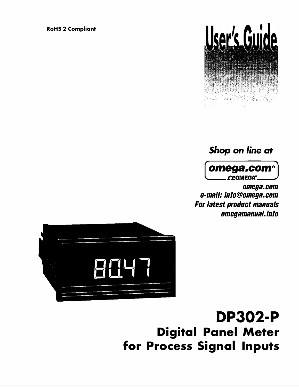**RoHS 2 Compliant**



# *Shop* on *line* at



*omega.com e-mail: info@omega.com For latest product manuals omegamanual.info* 



# DP302-P **Digital Panel Meter for Process Signal Inputs**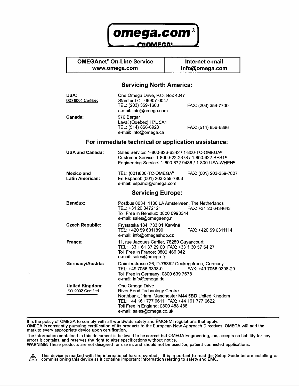

#### **OMEGAnet® On-Line Service Internet e-mail www.omega.com**

**info@omega.com** 

#### **Servicing North America:**

| <b>USA:</b><br>ISO 9001 Certified            | One Omega Drive, P.O. Box 4047<br>Stamford CT 06907-0047<br>TEL: (203) 359-1660<br>e-mail: info@omega.com                                                                                                                      | FAX: (203) 359-7700     |
|----------------------------------------------|--------------------------------------------------------------------------------------------------------------------------------------------------------------------------------------------------------------------------------|-------------------------|
| Canada:                                      | 976 Bergar<br>Laval (Quebec) H7L 5A1<br>TEL: (514) 856-6928<br>e-mail: info@omega.ca                                                                                                                                           | FAX: (514) 856-6886     |
|                                              | For immediate technical or application assistance:                                                                                                                                                                             |                         |
| <b>USA and Canada:</b>                       | Sales Service: 1-800-826-6342 / 1-800-TC-OMEGA®<br>Customer Service: 1-800-622-2378 / 1-800-622-BEST®<br>Engineering Service: 1-800-872-9436 / 1-800-USA-WHEN <sup>®</sup>                                                     |                         |
| Mexico and<br><b>Latin American:</b>         | TEL: (001)800-TC-OMEGA <sup>®</sup><br>En Español: (001) 203-359-7803<br>e-mail: espanol@omega.com                                                                                                                             | FAX: (001) 203-359-7807 |
| <b>Servicing Europe:</b>                     |                                                                                                                                                                                                                                |                         |
| <b>Benelux:</b>                              | Postbus 8034, 1180 LA Amstelveen, The Netherlands<br>TEL: +31 20 3472121<br>Toll Free in Benelux: 0800 0993344<br>e-mail: sales@omegaeng.nl                                                                                    | FAX: +31 20 6434643     |
| <b>Czech Republic:</b>                       | Frystatska 184, 733 01 Karviná<br>TEL: +420 59 6311899<br>e-mail: info@omegashop.cz                                                                                                                                            | FAX: +420 59 6311114    |
| France:                                      | 11, rue Jacques Cartier, 78280 Guyancourt<br>TEL: +33 1 61 37 29 00 FAX: +33 1 30 57 54 27<br>Toll Free in France: 0800 466 342<br>e-mail: sales@omega.fr                                                                      |                         |
| Germany/Austria:                             | Daimlerstrasse 26, D-75392 Deckenpfronn, Germany<br>TEL: +49 7056 9398-0<br>Toll Free in Germany: 0800 639 7678<br>e-mail: info@omega.de                                                                                       | FAX: +49 7056 9398-29   |
| <b>United Kingdom:</b><br>ISO 9002 Certified | One Omega Drive<br><b>River Bend Technology Centre</b><br>Northbank, Irlam Manchester M44 5BD United Kingdom<br>TEL: +44 161 777 6611 FAX: +44 161 777 6622<br>Toll Free in England: 0800 488 488<br>e-mail: sales@omega.co.uk |                         |

It is the policy of OMEGA to comply with all worldwide safety and EMC/EM I regulations that apply. OMEGA is constantly pursuing certification of its products to the European New Approach Directives. OMEGA will add the **mark to every appropriate device upon certification.**

**The information contained in this document is believed to be correct but OMEGA Engineering, Inc. accepts no liability for any**  errors it contains, and reserves the right to alter specifications without notice.

**WARNING: These products are not designed for use in, and should not be used for, patient connected applications.** 

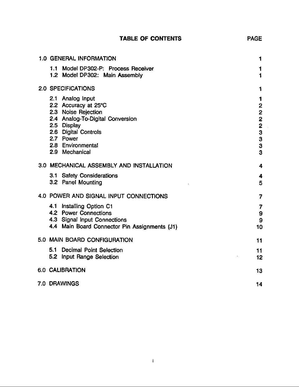|  |  | <b>TABLE OF CONTENTS</b> |
|--|--|--------------------------|
|--|--|--------------------------|

| <b>1.0 GENERAL INFORMATION</b>                                                                                                                                                                 | 1                                   |
|------------------------------------------------------------------------------------------------------------------------------------------------------------------------------------------------|-------------------------------------|
| 1.1 Model DP302-P: Process Receiver<br>1.2 Model DP302: Main Assembly                                                                                                                          | 1<br>1                              |
| 2.0 SPECIFICATIONS                                                                                                                                                                             | 1                                   |
| 2.1 Analog Input<br>2.2 Accuracy at 25°C<br>2.3 Noise Rejection<br>2.4 Analog-To-Digital Conversion<br>2.5 Display<br>2.6 Digital Controls<br>2.7 Power<br>2.8 Environmental<br>2.9 Mechanical | 1<br>$\mathbf{2}$<br>2233<br>3<br>3 |
| 3.0 MECHANICAL ASSEMBLY AND INSTALLATION                                                                                                                                                       | 4                                   |
| 3.1 Safety Considerations<br>3.2 Panel Mounting                                                                                                                                                | 4<br>5                              |
| 4.0 POWER AND SIGNAL INPUT CONNECTIONS                                                                                                                                                         | 7                                   |
| Installing Option C1<br>41<br>4.2 Power Connections<br>4.3 Signal Input Connections<br>4.4 Main Board Connector Pin Assignments (J1)                                                           | 7<br>9<br>9<br>10                   |
| 5.0 MAIN BOARD CONFIGURATION                                                                                                                                                                   | 11                                  |
| 51<br><b>Decimal Point Selection</b><br>5.2 Input Range Selection                                                                                                                              | 11<br>12                            |
| 6.0 CALIBRATION                                                                                                                                                                                | 13                                  |
| 7.0 DRAWINGS                                                                                                                                                                                   | 14                                  |

 $\sim$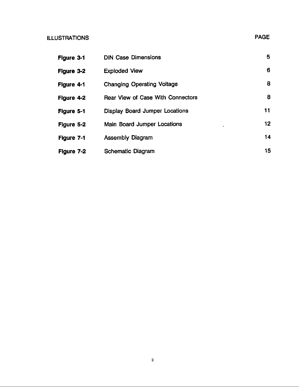#### **ILLUSTRATIONS**

| Δ۱<br>ر<br>Ō |
|--------------|
|              |

| Figure 3-1 | <b>DIN Case Dimensions</b>               | 5               |
|------------|------------------------------------------|-----------------|
| Figure 3-2 | <b>Exploded View</b>                     | 6               |
| Figure 4-1 | <b>Changing Operating Voltage</b>        | 8               |
| Figure 4-2 | <b>Rear View of Case With Connectors</b> | 8               |
| Figure 5-1 | <b>Display Board Jumper Locations</b>    | 11              |
| Figure 5-2 | <b>Main Board Jumper Locations</b>       | 12 <sup>2</sup> |
| Figure 7-1 | <b>Assembly Diagram</b>                  | 14              |
| Figure 7-2 | <b>Schematic Diagram</b>                 | 15              |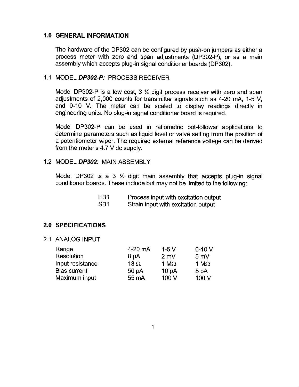#### **1.0 GENERAL INFORMATION**

The hardware of the DP302 can be configured by push-on jumpers as either a process meter with zero and span adjustments (DP302-P), or as a main assembly which accepts plug-in signal conditioner boards (DP302).

#### 1.1 MODEL DP302-P: PROCESS RECEIVER

Model DP302-P is a low cost,  $3 \frac{1}{2}$  digit process receiver with zero and span adjustments of 2,000 counts for transmitter signals such as 4-20 mA, 1-5 V, and 0-10 V. The meter can be scaled to display readings directly in engineering units. No plug-in signal conditioner board is required.

Model DP302-P can be used in ratiometric pot-follower applications to determine parameters such as liquid level or valve setting from the position of a potentiometer wiper. The required external reference voltage can be derived from the meter's 4.7 V dc supply.

#### 1.2 MODEL DP302: MAIN ASSEMBLY

Model DP302 is a 3  $\frac{1}{2}$  digit main assembly that accepts plug-in signal conditioner boards. These include but may not be limited to the following:

| EB1             | Process input with excitation output |
|-----------------|--------------------------------------|
| SB <sub>1</sub> | Strain input with excitation output  |

### **2.0 SPECIFICATIONS**

2.1 ANALOG INPUT

| Range               | 4-20 mA          | $1-5V$            | $0-10V$        |
|---------------------|------------------|-------------------|----------------|
| Resolution          | $8 \mu A$        | $2 \text{ mV}$    | $5 \text{ mV}$ |
| Input resistance    | $13 \Omega$      | 1 $M\Omega$       | 1 M $\Omega$   |
| <b>Bias current</b> | 50 <sub>pA</sub> | 10 <sub>p</sub> A | 5 pA           |
| Maximum input       | 55 mA            | 100V              | 100 V          |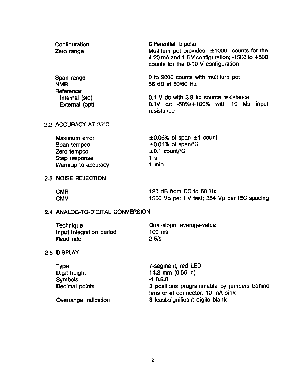| Configuration<br>Zero range            | Differential, bipolar<br>Multiturn pot provides $\pm 1000$ counts for the<br>4-20 mA and 1-5 V configuration; -1500 to $+500$<br>counts for the 0-10 V configuration |
|----------------------------------------|----------------------------------------------------------------------------------------------------------------------------------------------------------------------|
| Span range<br><b>NMR</b><br>Reference: | 0 to 2000 counts with multiturn pot<br>56 dB at 50/60 Hz                                                                                                             |
| Internal (std)<br>External (opt)       | 0.1 V dc with 3.9 $k\Omega$ source resistance<br>$0.1V$ dc $-50\%/+100\%$ with 10 Ma input<br>resistance                                                             |

#### 2.2 ACCURACY AT 25°C

| Maximum error      | $\pm 0.05$ % of span $\pm 1$ count |
|--------------------|------------------------------------|
| Span tempco        | $\pm 0.01\%$ of span/°C            |
| Zero tempco        | $\pm 0.1$ count/°C                 |
| Step response      | 1 s                                |
| Warmup to accuracy | 1 min                              |

### 2.3 NOISE REJECTION

| <b>CMR</b> | 120 dB from DC to 60 Hz                     |
|------------|---------------------------------------------|
| <b>CMV</b> | 1500 Vp per HV test; 354 Vp per IEC spacing |

### 2.4 ANALOG-TO-DIGITAL CONVERSION

 $\sim 10^{-11}$ 

| <b>Technique</b>         | Dual-slope, average-value |
|--------------------------|---------------------------|
| Input integration period | 100 ms                    |
| Read rate                | 2.5/s                     |

#### 2.5 DISPLAY

| <b>Type</b>          | 7-segment, red LED                         |
|----------------------|--------------------------------------------|
| Digit height         | 14.2 mm $(0.56)$ in)                       |
| <b>Symbols</b>       | $-1.8.8.8$                                 |
| Decimal points       | 3 positions programmable by jumpers behind |
|                      | lens or at connector, 10 mA sink           |
| Overrange indication | 3 least-significant digits blank           |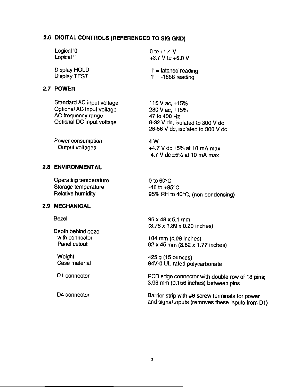### 2.6 DIGITAL CONTROLS (REFERENCED TO SIG GND)

| Logical '0'  | 0 to $+1.4$ V           |  |
|--------------|-------------------------|--|
| Logical '1'  | +3.7 V to +5.0 V        |  |
| Display HOLD | $'1'$ = latched reading |  |
| Display TEST | $'1' = -1888$ reading   |  |

#### 2.7 POWER

Power consumption 4 W **Output voltages** +4.7 V dc  $\pm$ 5% at 10 mA max  $-4.7$  V dc  $\pm 5\%$  at 10 mA max

#### **2.8 ENVIRONMENTAL**

| Operating temperature | 0 to $60^{\circ}$ C              |
|-----------------------|----------------------------------|
| Storage temperature   | $-40$ to $+85^{\circ}$ C         |
| Relative humidity     | 95% RH to 40°C, (non-condensing) |

#### 2.9 MECHANICAL

**Bezel** 

Depth behind bezel with connector Panel cutout

Weight Case material

D1 connector

D4 connector

96 x 48 x 5.1 mm  $(3.78 \times 1.89 \times 0.20$  inches)

104 mm (4.09 inches) 92 x 45 mm (3.62 x 1.77 inches)

425 g (15 ounces) 94V-0 UL-rated polycarbonate

PCB edge connector with double row of 18 pins; 3.96 mm (0.156 inches) between pins

Barrier strip with #6 screw terminals for power and signal inputs (removes these inputs from D1)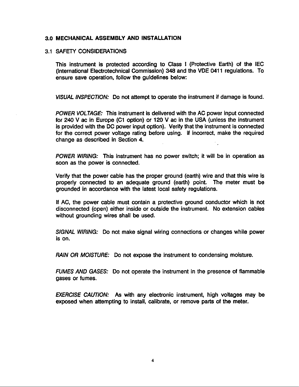#### 3.0 MECHANICAL ASSEMBLY AND INSTALLATION

#### 3.1 SAFETY CONSIDERATIONS

This instrument is protected according to Class I (Protective Earth) of the IEC (International Electrotechnical Commission) 348 and the VDE 0411 requiations. To ensure save operation, follow the guidelines below:

VISUAL INSPECTION: Do not attempt to operate the instrument if damage is found.

POWER VOLTAGE: This instrument is delivered with the AC power input connected for 240 V ac in Europe (C1 option) or 120 V ac in the USA (unless the instrument is provided with the DC power input option). Verify that the instrument is connected for the correct power voltage rating before using. If incorrect, make the required change as described in Section 4.

POWER WIRING: This instrument has no power switch; it will be in operation as soon as the power is connected.

Verify that the power cable has the proper ground (earth) wire and that this wire is properly connected to an adequate ground (earth) point. The meter must be grounded in accordance with the latest local safety regulations.

If AC, the power cable must contain a protective ground conductor which is not disconnected (open) either inside or outside the instrument. No extension cables without grounding wires shall be used.

SIGNAL WIRING: Do not make signal wiring connections or changes while power is on.

**RAIN OR MOISTURE:** Do not expose the instrument to condensing moisture.

FUMES AND GASES: Do not operate the instrument in the presence of flammable gases or fumes.

**EXERCISE CAUTION:** As with any electronic instrument, high voltages may be exposed when attempting to install, calibrate, or remove parts of the meter.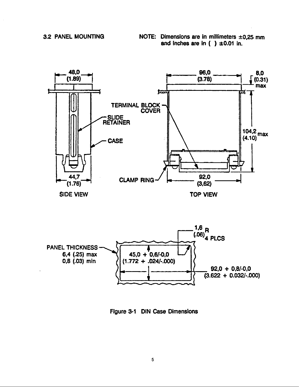NOTE: Dimensions are in millimeters  $\pm 0.25$  mm and inches are in  $( ) \pm 0.01$  in.



Figure 3-1 DIN Case Dimensions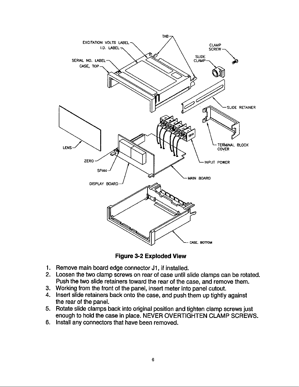

**Figure 3-2 Exploded View** 

- 1. Remove main board edge connector J1, if installed.
- 2. Loosen the two clamp screws on rear of case until slide clamps can be rotated. Push the two slide retainers toward the rear of the case, and remove them.
- 3. Working from the front of the panel, insert meter into panel cutout.
- 4. Insert slide retainers back onto the case, and push them up tightly against the rear of the panel.
- 5. Rotate slide clamps back into original position and tighten clamp screws just enough to hold the case in place. NEVER OVERTIGHTEN CLAMP SCREWS.
- 6. Install any connectors that have been removed.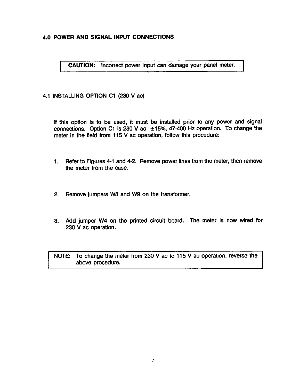#### 4.0 POWER AND SIGNAL INPUT CONNECTIONS

CAUTION: Incorrect power input can damage your panel meter.

#### 4.1 INSTALLING OPTION C1 (230 V ac)

If this option is to be used, it must be installed prior to any power and signal connections. Option C1 is 230 V ac  $\pm$ 15%, 47-400 Hz operation. To change the meter in the field from 115 V ac operation, follow this procedure:

- 1. Refer to Figures 4-1 and 4-2. Remove power lines from the meter, then remove the meter from the case.
- $2.$ Remove jumpers W8 and W9 on the transformer.
- 3. Add jumper W4 on the printed circuit board. The meter is now wired for 230 V ac operation.

NOTE: To change the meter from 230 V ac to 115 V ac operation, reverse the above procedure.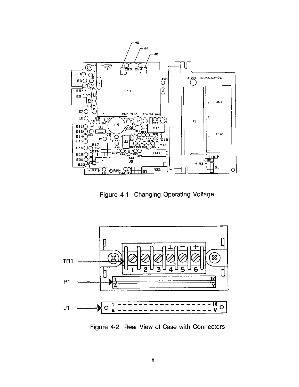

Figure 4-1 Changing Operating Voltage



Figure 4-2 Rear View of Case with Connectors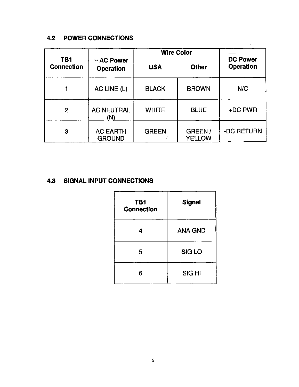### **4.2 POWER CONNECTIONS**

|                   |                                                        | <b>Wire Color</b> |                  |                                     |
|-------------------|--------------------------------------------------------|-------------------|------------------|-------------------------------------|
| <b>Connection</b> | TB <sub>1</sub><br>$\sim$ AC Power<br><b>Operation</b> | <b>USA</b>        | <b>Other</b>     | <b>DC Power</b><br><b>Operation</b> |
|                   | AC LINE (L)                                            | <b>BLACK</b>      | <b>BROWN</b>     | N/C                                 |
| $\overline{2}$    | <b>AC NEUTRAL</b><br>(N)                               | <b>WHITE</b>      | <b>BLUE</b>      | +DC PWR                             |
| 3                 | <b>AC EARTH</b><br><b>GROUND</b>                       | <b>GREEN</b>      | GREEN/<br>YELLOW | -DC RETURN                          |

 $\hat{\mathbf{r}}$ 

### **4.3 SIGNAL INPUT CONNECTIONS**

| TB1<br><b>Connection</b> | <b>Signal</b>  |
|--------------------------|----------------|
| 4                        | <b>ANA GND</b> |
| 5                        | SIG LO         |
| 6                        | <b>SIGHI</b>   |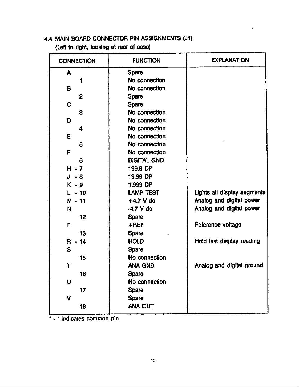### 4.4 MAIN BOARD CONNECTOR PIN ASSIGNMENTS (J1)

(Left to right, looking at rear of case)

| <b>CONNECTION</b> | <b>FUNCTION</b>    | <b>EXPLANATION</b>          |  |
|-------------------|--------------------|-----------------------------|--|
| A                 | <b>Spare</b>       |                             |  |
|                   | No connection      |                             |  |
| в                 | No connection      |                             |  |
| $\mathbf{2}$      | <b>Spare</b>       |                             |  |
| C                 | Spare              |                             |  |
| З                 | No connection      |                             |  |
| D                 | No connection      |                             |  |
| 4                 | No connection      |                             |  |
| E                 | No connection      |                             |  |
| 5                 | No connection      |                             |  |
| F                 | No connection      |                             |  |
| 6                 | <b>DIGITAL GND</b> |                             |  |
| $H - 7$           | 199.9 DP           |                             |  |
| $J - 8$           | 19.99 DP           |                             |  |
| $K - 9$           | 1.999 DP           |                             |  |
| $L - 10$          | <b>LAMP TEST</b>   | Lights all display segments |  |
| $M - 11$          | $+4.7$ V dc        | Analog and digital power    |  |
| N                 | $-4.7$ V dc        | Analog and digital power    |  |
| 12                | Spare              |                             |  |
| P                 | $+$ REF            | Reference voltage           |  |
| 13                | <b>Spare</b>       |                             |  |
| $R - 14$          | <b>HOLD</b>        | Hold last display reading   |  |
| S                 | Spare              |                             |  |
| 15                | No connection      |                             |  |
| Τ                 | <b>ANA GND</b>     | Analog and digital ground   |  |
| 16                | Spare              |                             |  |
| Ù                 | No connection      |                             |  |
| 17                | <b>Spare</b>       |                             |  |
| V                 | <b>Spare</b>       |                             |  |
| 18                | ANA OUT            |                             |  |
|                   |                    |                             |  |

" - " Indicates common pin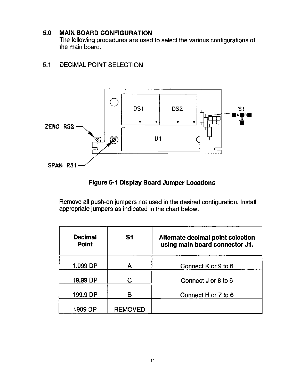#### $5.0$ **MAIN BOARD CONFIGURATION**

The following procedures are used to select the various configurations of the main board.

#### **DECIMAL POINT SELECTION**  $5.1$



### **Figure 5-1 Display Board Jumper Locations**

Remove all push-on jumpers not used in the desired configuration. Install appropriate jumpers as indicated in the chart below.

| <b>Decimal</b><br><b>Point</b> | S <sub>1</sub> | Alternate decimal point selection<br>using main board connector J1. |
|--------------------------------|----------------|---------------------------------------------------------------------|
| 1.999 DP                       |                | Connect K or 9 to 6                                                 |
| 19.99 DP                       | C              | Connect J or 8 to 6                                                 |
| 199.9 DP                       | B              | Connect H or 7 to 6                                                 |
| 1999 DP                        | <b>REMOVED</b> |                                                                     |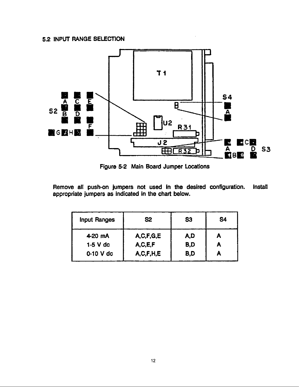### 5.2 INPUT RANGE SELECTION



Figure 5-2 Main Board Jumper Locations

Remove all push-on jumpers not used in the desired configuration. Install appropriate jumpers as indicated in the chart below.

| <b>Input Ranges</b> | S2            | S <sub>3</sub> | S <sub>4</sub> |
|---------------------|---------------|----------------|----------------|
| 4-20 mA             | A, C, F, G, E | A,D            |                |
| $1-5$ V dc          | A,C,E,F       | B,D            | А              |
| 0-10 V dc           | A, C, F, H, E | B,D            |                |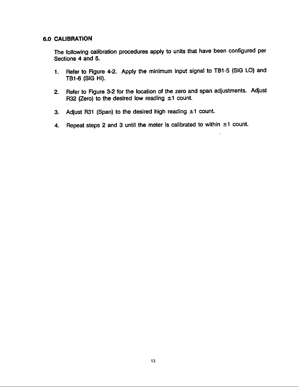#### **6.0 CALIBRATION**

The following calibration procedures apply to units that have been configured per Sections 4 and 5.

- Refer to Figure 4-2. Apply the minimum input signal to TB1-5 (SIG LO) and  $1.$ TB1-6 (SIG HI).
- Refer to Figure 3-2 for the location of the zero and span adjustments. Adjust  $2.$ R32 (Zero) to the desired low reading  $±1$  count.
- Adjust R31 (Span) to the desired high reading  $\pm 1$  count. 3.
- Repeat steps 2 and 3 until the meter is calibrated to within  $\pm 1$  count.  $4.$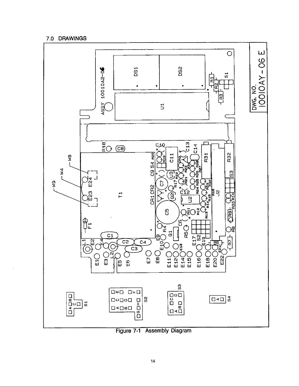#### 7.0 DRAWINGS



Figure 7-1 Assembly Diagram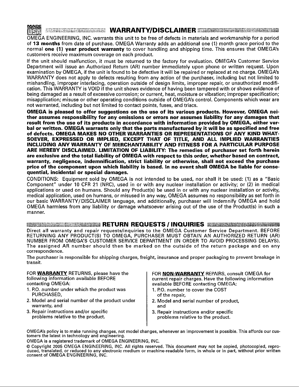

#### **MENTED BELL MARRANTY/DISCLAIMER AND THE RESERVE AND RESERVE THE RESERVE AND RESIDENT AND RESIDENCE AND RESIDENT**

OMEGA ENGINEERING, INC. warrants this unit to be free of defects in materials and workmanship for a period of 13 months from date of purchase. OMEGA Warranty adds an additional one (1) month grace period to the normal one (1) year product warranty to cover handling and shipping time. This ensures that OMEGA's customers receive maximum coverage on each product.

If the unit should malfunction, it must be returned to the factory for evaluation. OMEGA's Customer Service Department will issue an Authorized Return (AR) number immediately upon phone or written request. Upon examination by OMEGA, if the unit is found to be defective it will be repaired or replaced at no charge. OMEGA's WARRANTY does not apply to defects resulting from any action of the purchaser, including but not limited to mishandling, improper interfacing, operation outside of design limits, improper repair, or unauthorized modification. This WARRANTY is VOID if the unit shows evidence of having been tampered with or shows evidence of being damaged as a result of excessive corrosion; or current, heat, moisture or vibration; improper specification; misapplication; misuse or other operating conditions outside of OMEGA's control. Components which wear are not warranted, including but not limited to contact points, fuses, and triacs.

OMEGA is pleased to offer suggestions on the use of its various products. However, OMEGA neither assumes responsibility for any omissions or errors nor assumes liability for any damages that result from the use of its products in accordance with information provided by OMEGA, either verbal or written. OMEGA warrants only that the parts manufactured by it will be as specified and free of defects. OMEGA MAKES NO OTHER WARRANTIES OR REPRESENTATIONS OF ANY KIND WHAT-SOEVER, EXPRESSED OR IMPLIED, EXCEPT THAT OF TITLE, AND ALL IMPLIED WARRANTIES **INCLUDING ANY WARRANTY OF MERCHANTABILITY AND FITNESS FOR A PARTICULAR PURPOSE** ARE HEREBY DISCLAIMED. LIMITATION OF LIABILITY: The remedies of purchaser set forth herein are exclusive and the total liability of OMEGA with respect to this order, whether based on contract, warranty, negligence, indemnification, strict liability or otherwise, shall not exceed the purchase price of the component upon which liability is based. In no event shall OMEGA be liable for consequential, incidental or special damages.

CONDITIONS: Equipment sold by OMEGA is not intended to be used, nor shall it be used: (1) as a "Basic Component" under 10 CFR 21 (NRC), used in or with any nuclear installation or activity; or (2) in medical applications or used on humans. Should any Product(s) be used in or with any nuclear installation or activity, medical application, used on humans, or misused in any way, OMEGA assumes no responsibility as set forth in our basic WARRANTY/DISCLAIMER language, and additionally, purchaser will indemnify OMEGA and hold OMEGA harmless from any liability or damage whatsoever arising out of the use of the Product(s) in such a manner.

**ESSERIES EXECUTIVES IN RETURN REQUESTS / INQUIRIES EXECUTIVES EXECUTIVES EXECUTIVES IN RETURN RE** Direct all warranty and repair requests/inquiries to the OMEGA Customer Service Department. BEFORE RETURNING ANY PRODUCT(S) TO OMEGA, PURCHASER MUST OBTAIN AN AUTHORIZED RETURN (AR) NUMBER FROM OMEGA'S CUSTOMER SERVICE DEPARTMENT (IN ORDER TO AVOID PROCESSING DELAYS). The assigned AR number should then be marked on the outside of the return package and on any correspondence.

The purchaser is responsible for shipping charges, freight, insurance and proper packaging to prevent breakage in transit.

FOR WARRANTY RETURNS, please have the following information available BEFORE contacting OMEGA:

- 1. P.O. number under which the product was PURCHASED,
- 2. Model and serial number of the product under warranty, and
- 3. Repair instructions and/or specific problems relative to the product.

FOR NON-WARRANTY REPAIRS, consult OMEGA for current repair charges. Have the following information available BEFORE contacting OMEGA:

- 1. P.O. number to cover the COST of the repair,
- 2. Model and serial number of product, and
- 3. Repair instructions and/or specific problems relative to the product.

OMEGA's policy is to make running changes, not model changes, whenever an improvement is possible. This affords our customers the latest in technology and engineering.

OMEGA is a registered trademark of OMEGA ENGINEERING, INC.

© Copvright 2005 OMEGA ENGINEERING, INC. All rights reserved. This document may not be copied, photocopied, reproduced, translated, or reduced to any electronic medium or machine-readable form, in whole or in part, without prior written consent of OMEGA ENGINEERING, INC.